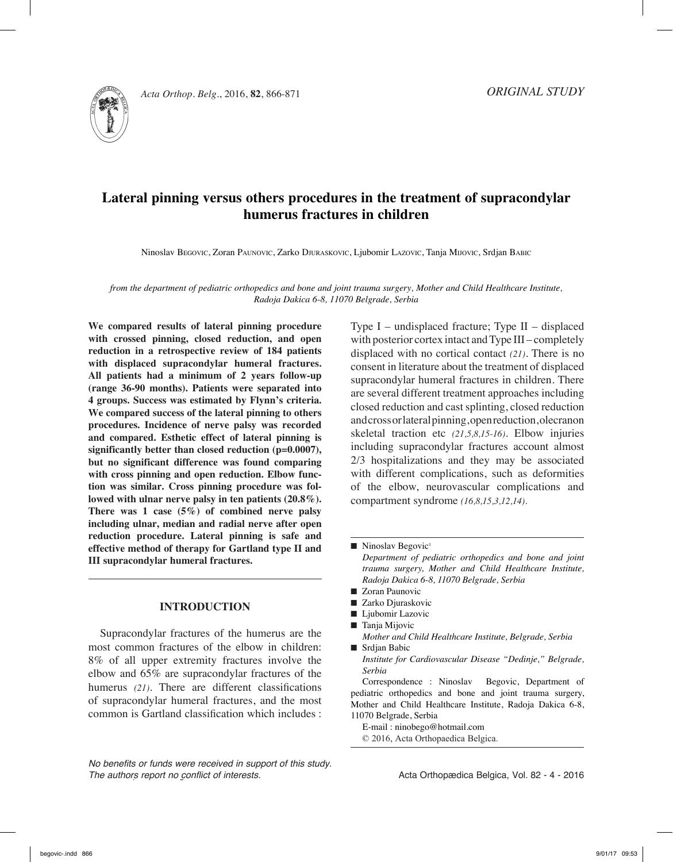

*Acta Orthop. Belg.***, 2016, <b>82**, 866-871 *OF* 

# **Lateral pinning versus others procedures in the treatment of supracondylar humerus fractures in children**

Ninoslav Begovic, Zoran Paunovic, Zarko Djuraskovic, Ljubomir Lazovic, Tanja Mijovic, Srdjan Babic

*from the department of pediatric orthopedics and bone and joint trauma surgery, Mother and Child Healthcare Institute, Radoja Dakica 6-8, 11070 Belgrade, Serbia*

**We compared results of lateral pinning procedure with crossed pinning, closed reduction, and open reduction in a retrospective review of 184 patients with displaced supracondylar humeral fractures. All patients had a minimum of 2 years follow-up (range 36-90 months). Patients were separated into 4 groups. Success was estimated by Flynn's criteria. We compared success of the lateral pinning to others procedures. Incidence of nerve palsy was recorded and compared. Esthetic effect of lateral pinning is significantly better than closed reduction (p=0.0007), but no significant difference was found comparing with cross pinning and open reduction. Elbow function was similar. Cross pinning procedure was followed with ulnar nerve palsy in ten patients (20.8%). There was 1 case (5%) of combined nerve palsy including ulnar, median and radial nerve after open reduction procedure. Lateral pinning is safe and effective method of therapy for Gartland type II and III supracondylar humeral fractures.** 

## **Introduction**

Supracondylar fractures of the humerus are the most common fractures of the elbow in children: 8% of all upper extremity fractures involve the elbow and 65% are supracondylar fractures of the humerus *(21)*. There are different classifications of supracondylar humeral fractures, and the most common is Gartland classification which includes :

*No benefits or funds were received in support of this study. The authors report no conflict of interests.* 

Type I – undisplaced fracture; Type II – displaced with posterior cortex intact and Type III – completely displaced with no cortical contact *(21)*. There is no consent in literature about the treatment of displaced supracondylar humeral fractures in children. There are several different treatment approaches including closed reduction and cast splinting, closed reduction and cross or lateral pinning, open reduction, olecranon skeletal traction etc *(21,5,8,15-16)*. Elbow injuries including supracondylar fractures account almost 2/3 hospitalizations and they may be associated with different complications, such as deformities of the elbow, neurovascular complications and compartment syndrome *(16,8,15,3,12,14).*

*Department of pediatric orthopedics and bone and joint trauma surgery, Mother and Child Healthcare Institute, Radoja Dakica 6-8, 11070 Belgrade, Serbia*

- Zoran Paunovic
- Zarko Djuraskovic
- Ljubomir Lazovic
- Tanja Mijovic
- *Mother and Child Healthcare Institute, Belgrade, Serbia* ■ Srdjan Babic
	- *Institute for Cardiovascular Disease "Dedinje," Belgrade, Serbia*

Correspondence : Ninoslav Begovic, Department of pediatric orthopedics and bone and joint trauma surgery, Mother and Child Healthcare Institute, Radoja Dakica 6-8, 11070 Belgrade, Serbia

E-mail : ninobego@hotmail.com © 2016, Acta Orthopaedica Belgica.

 $\blacksquare$  Ninoslav Begovic<sup>1</sup>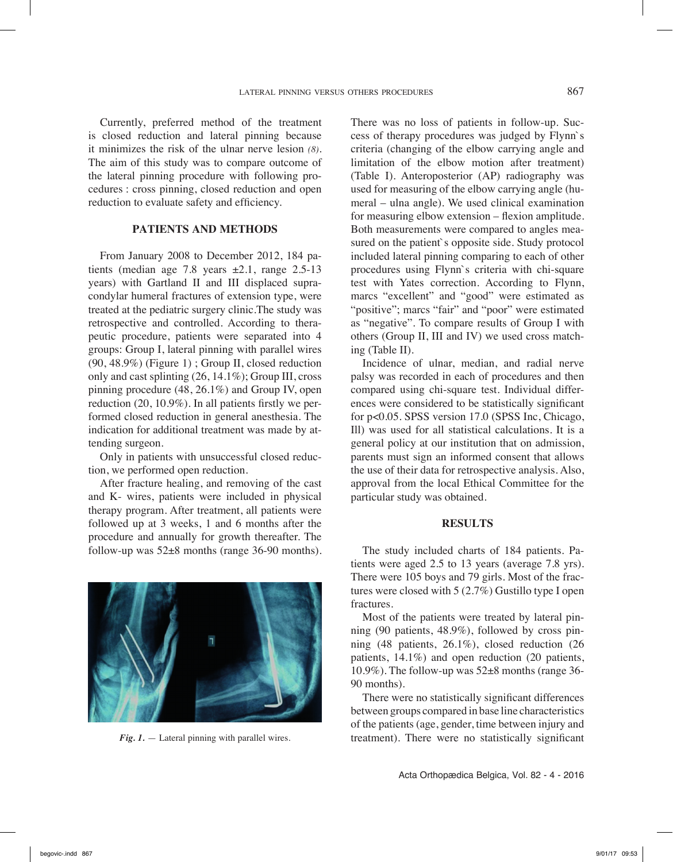Currently, preferred method of the treatment is closed reduction and lateral pinning because it minimizes the risk of the ulnar nerve lesion *(8)*. The aim of this study was to compare outcome of the lateral pinning procedure with following procedures : cross pinning, closed reduction and open reduction to evaluate safety and efficiency.

### **Patients and Methods**

From January 2008 to December 2012, 184 patients (median age 7.8 years  $\pm 2.1$ , range 2.5-13 years) with Gartland II and III displaced supracondylar humeral fractures of extension type, were treated at the pediatric surgery clinic.The study was retrospective and controlled. According to therapeutic procedure, patients were separated into 4 groups: Group I, lateral pinning with parallel wires (90, 48.9%) (Figure 1) ; Group II, closed reduction only and cast splinting (26, 14.1%); Group III, cross pinning procedure (48, 26.1%) and Group IV, open reduction (20, 10.9%). In all patients firstly we performed closed reduction in general anesthesia. The indication for additional treatment was made by attending surgeon.

Only in patients with unsuccessful closed reduction, we performed open reduction.

After fracture healing, and removing of the cast and K- wires, patients were included in physical therapy program. After treatment, all patients were followed up at 3 weeks, 1 and 6 months after the procedure and annually for growth thereafter. The follow-up was  $52\pm 8$  months (range 36-90 months).



There was no loss of patients in follow-up. Success of therapy procedures was judged by Flynn`s criteria (changing of the elbow carrying angle and limitation of the elbow motion after treatment) (Table I). Anteroposterior (AP) radiography was used for measuring of the elbow carrying angle (humeral – ulna angle). We used clinical examination for measuring elbow extension – flexion amplitude. Both measurements were compared to angles measured on the patient`s opposite side. Study protocol included lateral pinning comparing to each of other procedures using Flynn`s criteria with chi-square test with Yates correction. According to Flynn, marcs "excellent" and "good" were estimated as "positive"; marcs "fair" and "poor" were estimated as "negative". To compare results of Group I with others (Group II, III and IV) we used cross matching (Table II).

Incidence of ulnar, median, and radial nerve palsy was recorded in each of procedures and then compared using chi-square test. Individual differences were considered to be statistically significant for p<0.05. SPSS version 17.0 (SPSS Inc, Chicago, Ill) was used for all statistical calculations. It is a general policy at our institution that on admission, parents must sign an informed consent that allows the use of their data for retrospective analysis. Also, approval from the local Ethical Committee for the particular study was obtained.

#### **Results**

The study included charts of 184 patients. Patients were aged 2.5 to 13 years (average 7.8 yrs). There were 105 boys and 79 girls. Most of the fractures were closed with 5 (2.7%) Gustillo type I open fractures.

Most of the patients were treated by lateral pinning (90 patients, 48.9%), followed by cross pinning (48 patients, 26.1%), closed reduction (26 patients, 14.1%) and open reduction (20 patients, 10.9%). The follow-up was 52±8 months (range 36- 90 months).

There were no statistically significant differences between groups compared in base line characteristics of the patients (age, gender, time between injury and *Fig. 1.* — Lateral pinning with parallel wires. treatment). There were no statistically significant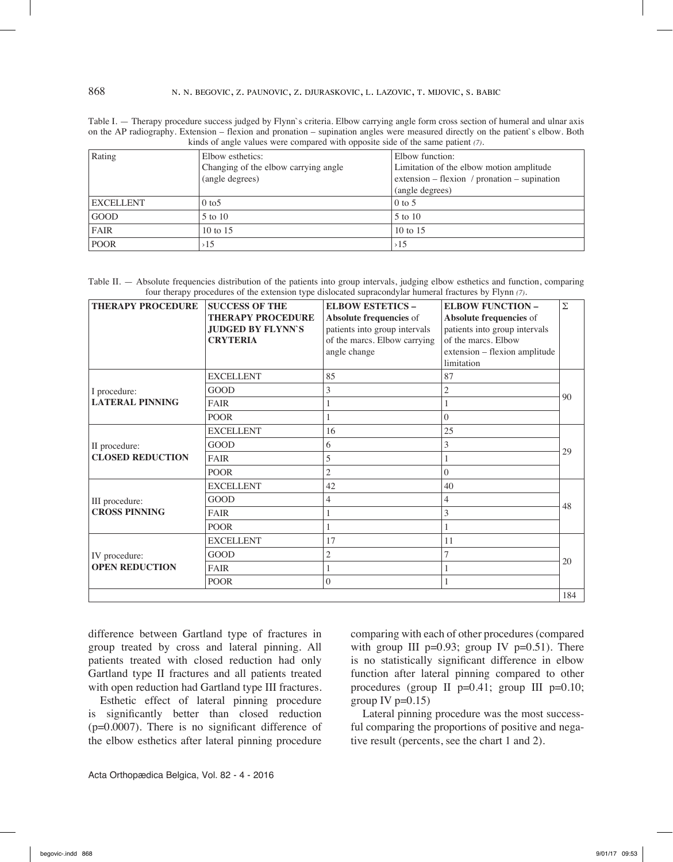Table I. — Therapy procedure success judged by Flynn`s criteria. Elbow carrying angle form cross section of humeral and ulnar axis on the AP radiography. Extension – flexion and pronation – supination angles were measured directly on the patient`s elbow. Both kinds of angle values were compared with opposite side of the same patient *(7)*.

| Rating           | Elbow esthetics:                     | Elbow function:                              |  |
|------------------|--------------------------------------|----------------------------------------------|--|
|                  | Changing of the elbow carrying angle | Limitation of the elbow motion amplitude     |  |
|                  | (angle degrees)                      | extension – flexion / pronation – supination |  |
|                  |                                      | (angle degrees)                              |  |
| <b>EXCELLENT</b> | $0 \text{ to } 5$                    | $0$ to 5                                     |  |
| <b>GOOD</b>      | 5 to 10                              | 5 to 10                                      |  |
| <b>FAIR</b>      | 10 to $15$                           | 10 to $15$                                   |  |
| <b>POOR</b>      | >15                                  | >15                                          |  |

Table II. — Absolute frequencies distribution of the patients into group intervals, judging elbow esthetics and function, comparing four therapy procedures of the extension type dislocated supracondylar humeral fractures by Flynn *(7)*.

| <b>THERAPY PROCEDURE</b>                 | <b>SUCCESS OF THE</b><br><b>THERAPY PROCEDURE</b><br><b>JUDGED BY FLYNN'S</b><br><b>CRYTERIA</b> | <b>ELBOW ESTETICS -</b><br>Absolute frequencies of<br>patients into group intervals<br>of the marcs. Elbow carrying<br>angle change | <b>ELBOW FUNCTION -</b><br>Absolute frequencies of<br>patients into group intervals<br>of the marcs. Elbow<br>extension - flexion amplitude<br>limitation | Σ   |  |
|------------------------------------------|--------------------------------------------------------------------------------------------------|-------------------------------------------------------------------------------------------------------------------------------------|-----------------------------------------------------------------------------------------------------------------------------------------------------------|-----|--|
| I procedure:<br><b>LATERAL PINNING</b>   | <b>EXCELLENT</b>                                                                                 | 85                                                                                                                                  | 87                                                                                                                                                        | 90  |  |
|                                          | <b>GOOD</b>                                                                                      | 3                                                                                                                                   | 2                                                                                                                                                         |     |  |
|                                          | <b>FAIR</b>                                                                                      |                                                                                                                                     |                                                                                                                                                           |     |  |
|                                          | <b>POOR</b>                                                                                      |                                                                                                                                     | $\theta$                                                                                                                                                  |     |  |
| II procedure:<br><b>CLOSED REDUCTION</b> | <b>EXCELLENT</b>                                                                                 | 16                                                                                                                                  | 25                                                                                                                                                        | 29  |  |
|                                          | <b>GOOD</b>                                                                                      | 6                                                                                                                                   | 3                                                                                                                                                         |     |  |
|                                          | <b>FAIR</b>                                                                                      | 5                                                                                                                                   |                                                                                                                                                           |     |  |
|                                          | <b>POOR</b>                                                                                      | $\overline{c}$                                                                                                                      | $\theta$                                                                                                                                                  |     |  |
| III procedure:<br><b>CROSS PINNING</b>   | <b>EXCELLENT</b>                                                                                 | 42                                                                                                                                  | 40                                                                                                                                                        |     |  |
|                                          | <b>GOOD</b>                                                                                      | 4                                                                                                                                   | 4                                                                                                                                                         |     |  |
|                                          | <b>FAIR</b>                                                                                      |                                                                                                                                     | 3                                                                                                                                                         | 48  |  |
|                                          | <b>POOR</b>                                                                                      |                                                                                                                                     |                                                                                                                                                           |     |  |
| IV procedure:<br><b>OPEN REDUCTION</b>   | <b>EXCELLENT</b>                                                                                 | 17                                                                                                                                  | 11                                                                                                                                                        |     |  |
|                                          | <b>GOOD</b>                                                                                      | $\overline{2}$                                                                                                                      | 7                                                                                                                                                         |     |  |
|                                          | <b>FAIR</b>                                                                                      |                                                                                                                                     |                                                                                                                                                           | 20  |  |
|                                          | <b>POOR</b>                                                                                      | $\mathbf{0}$                                                                                                                        | 1                                                                                                                                                         |     |  |
|                                          |                                                                                                  |                                                                                                                                     |                                                                                                                                                           | 184 |  |

difference between Gartland type of fractures in group treated by cross and lateral pinning. All patients treated with closed reduction had only Gartland type II fractures and all patients treated with open reduction had Gartland type III fractures.

Esthetic effect of lateral pinning procedure is significantly better than closed reduction (p=0.0007). There is no significant difference of the elbow esthetics after lateral pinning procedure

Acta Orthopædica Belgica, Vol. 82 - 4 - 2016

comparing with each of other procedures (compared with group III  $p=0.93$ ; group IV  $p=0.51$ ). There is no statistically significant difference in elbow function after lateral pinning compared to other procedures (group II p=0.41; group III p=0.10; group IV  $p=0.15$ )

Lateral pinning procedure was the most successful comparing the proportions of positive and negative result (percents, see the chart 1 and 2).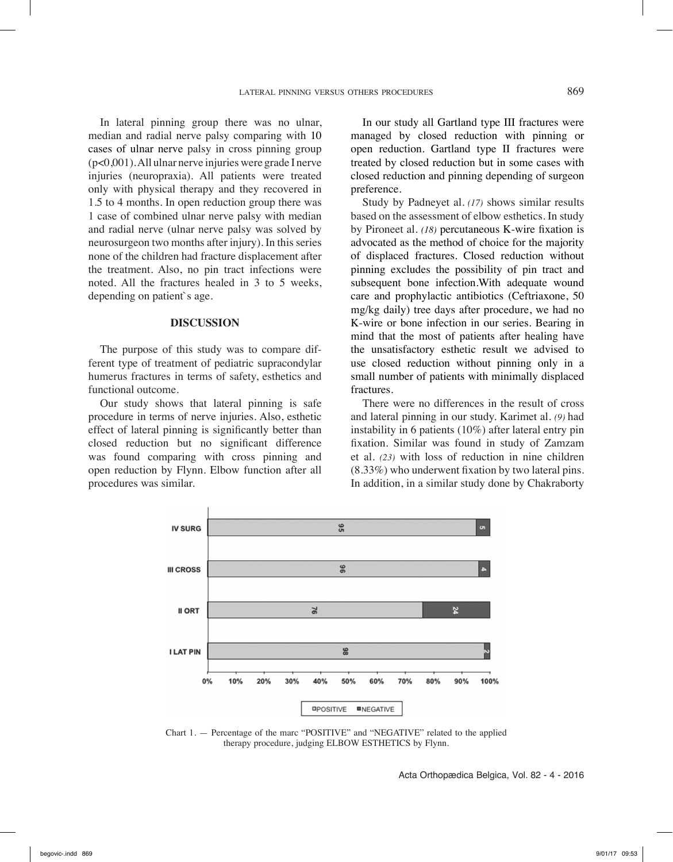In lateral pinning group there was no ulnar, median and radial nerve palsy comparing with 10 cases of ulnar nerve palsy in cross pinning group (p<0,001). All ulnar nerve injuries were grade I nerve injuries (neuropraxia). All patients were treated only with physical therapy and they recovered in 1.5 to 4 months. In open reduction group there was 1 case of combined ulnar nerve palsy with median and radial nerve (ulnar nerve palsy was solved by neurosurgeon two months after injury). In this series none of the children had fracture displacement after the treatment. Also, no pin tract infections were noted. All the fractures healed in 3 to 5 weeks, depending on patient`s age.

#### **Discussion**

The purpose of this study was to compare different type of treatment of pediatric supracondylar humerus fractures in terms of safety, esthetics and functional outcome.

Our study shows that lateral pinning is safe procedure in terms of nerve injuries. Also, esthetic effect of lateral pinning is significantly better than closed reduction but no significant difference was found comparing with cross pinning and open reduction by Flynn. Elbow function after all procedures was similar.

In our study all Gartland type III fractures were managed by closed reduction with pinning or open reduction. Gartland type II fractures were treated by closed reduction but in some cases with closed reduction and pinning depending of surgeon preference.

Study by Padneyet al. *(17)* shows similar results based on the assessment of elbow esthetics. In study by Pironeet al. *(18)* percutaneous K-wire fixation is advocated as the method of choice for the majority of displaced fractures. Closed reduction without pinning excludes the possibility of pin tract and subsequent bone infection.With adequate wound care and prophylactic antibiotics (Ceftriaxone, 50 mg/kg daily) tree days after procedure, we had no K-wire or bone infection in our series. Bearing in mind that the most of patients after healing have the unsatisfactory esthetic result we advised to use closed reduction without pinning only in a small number of patients with minimally displaced fractures.

There were no differences in the result of cross and lateral pinning in our study. Karimet al. *(9)* had instability in 6 patients (10%) after lateral entry pin fixation. Similar was found in study of Zamzam et al. *(23)* with loss of reduction in nine children (8.33%) who underwent fixation by two lateral pins. In addition, in a similar study done by Chakraborty



Chart 1. — Percentage of the marc "POSITIVE" and "NEGATIVE" related to the applied therapy procedure, judging ELBOW ESTHETICS by Flynn.

Acta Orthopædica Belgica, Vol. 82 - 4 - 2016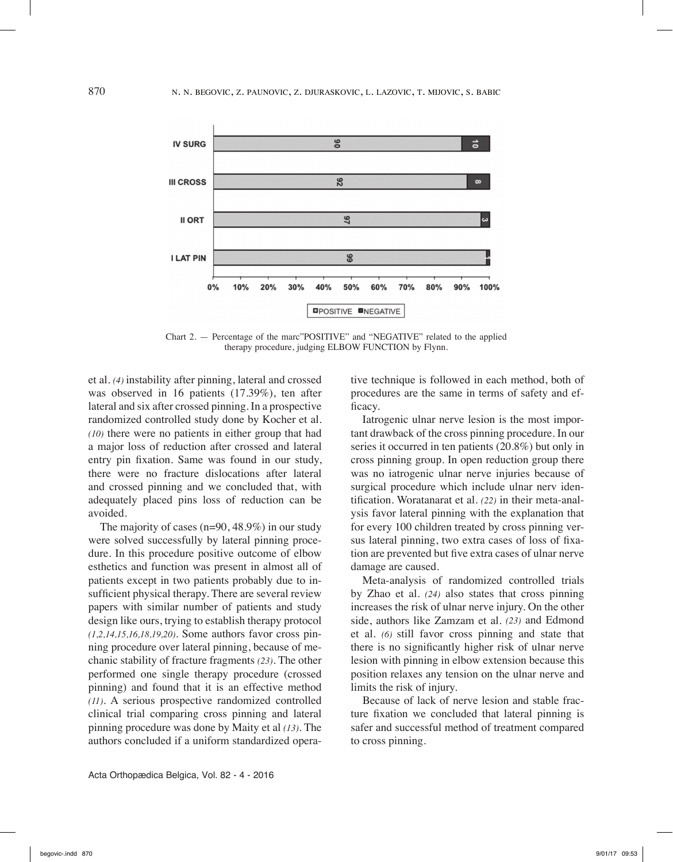

Chart 2. — Percentage of the marc"POSITIVE" and "NEGATIVE" related to the applied therapy procedure, judging ELBOW FUNCTION by Flynn.

et al. *(4)* instability after pinning, lateral and crossed was observed in 16 patients (17.39%), ten after lateral and six after crossed pinning. In a prospective randomized controlled study done by Kocher et al. *(10)* there were no patients in either group that had a major loss of reduction after crossed and lateral entry pin fixation. Same was found in our study, there were no fracture dislocations after lateral and crossed pinning and we concluded that, with adequately placed pins loss of reduction can be avoided.

The majority of cases (n=90, 48.9%) in our study were solved successfully by lateral pinning procedure. In this procedure positive outcome of elbow esthetics and function was present in almost all of patients except in two patients probably due to insufficient physical therapy. There are several review papers with similar number of patients and study design like ours, trying to establish therapy protocol *(1,2,14,15,16,18,19,20)*. Some authors favor cross pinning procedure over lateral pinning, because of mechanic stability of fracture fragments *(23)*. The other performed one single therapy procedure (crossed pinning) and found that it is an effective method *(11)*. A serious prospective randomized controlled clinical trial comparing cross pinning and lateral pinning procedure was done by Maity et al *(13)*. The authors concluded if a uniform standardized operative technique is followed in each method, both of procedures are the same in terms of safety and efficacy.

Iatrogenic ulnar nerve lesion is the most important drawback of the cross pinning procedure. In our series it occurred in ten patients (20.8%) but only in cross pinning group. In open reduction group there was no iatrogenic ulnar nerve injuries because of surgical procedure which include ulnar nerv identification. Woratanarat et al. *(22)* in their meta-analysis favor lateral pinning with the explanation that for every 100 children treated by cross pinning versus lateral pinning, two extra cases of loss of fixation are prevented but five extra cases of ulnar nerve damage are caused.

Meta-analysis of randomized controlled trials by Zhao et al. *(24)* also states that cross pinning increases the risk of ulnar nerve injury. On the other side, authors like Zamzam et al. *(23)* and Edmond et al. *(6)* still favor cross pinning and state that there is no significantly higher risk of ulnar nerve lesion with pinning in elbow extension because this position relaxes any tension on the ulnar nerve and limits the risk of injury.

Because of lack of nerve lesion and stable fracture fixation we concluded that lateral pinning is safer and successful method of treatment compared to cross pinning.